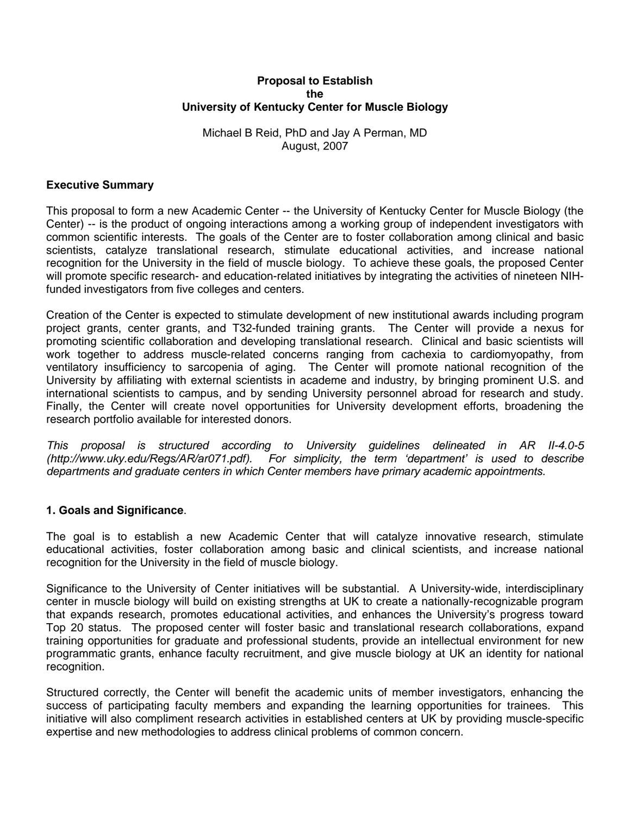### **Proposal to Establish the University of Kentucky Center for Muscle Biology**

## Michael B Reid, PhD and Jay A Perman, MD August, 2007

## **Executive Summary**

This proposal to form a new Academic Center -- the University of Kentucky Center for Muscle Biology (the Center) -- is the product of ongoing interactions among a working group of independent investigators with common scientific interests. The goals of the Center are to foster collaboration among clinical and basic scientists, catalyze translational research, stimulate educational activities, and increase national recognition for the University in the field of muscle biology. To achieve these goals, the proposed Center will promote specific research- and education-related initiatives by integrating the activities of nineteen NIHfunded investigators from five colleges and centers.

Creation of the Center is expected to stimulate development of new institutional awards including program project grants, center grants, and T32-funded training grants. The Center will provide a nexus for promoting scientific collaboration and developing translational research. Clinical and basic scientists will work together to address muscle-related concerns ranging from cachexia to cardiomyopathy, from ventilatory insufficiency to sarcopenia of aging. The Center will promote national recognition of the University by affiliating with external scientists in academe and industry, by bringing prominent U.S. and international scientists to campus, and by sending University personnel abroad for research and study. Finally, the Center will create novel opportunities for University development efforts, broadening the research portfolio available for interested donors.

*This proposal is structured according to University guidelines delineated in AR II-4.0-5 (http://www.uky.edu/Regs/AR/ar071.pdf). For simplicity, the term 'department' is used to describe departments and graduate centers in which Center members have primary academic appointments.* 

## **1. Goals and Significance**.

The goal is to establish a new Academic Center that will catalyze innovative research, stimulate educational activities, foster collaboration among basic and clinical scientists, and increase national recognition for the University in the field of muscle biology.

Significance to the University of Center initiatives will be substantial. A University-wide, interdisciplinary center in muscle biology will build on existing strengths at UK to create a nationally-recognizable program that expands research, promotes educational activities, and enhances the University's progress toward Top 20 status. The proposed center will foster basic and translational research collaborations, expand training opportunities for graduate and professional students, provide an intellectual environment for new programmatic grants, enhance faculty recruitment, and give muscle biology at UK an identity for national recognition.

Structured correctly, the Center will benefit the academic units of member investigators, enhancing the success of participating faculty members and expanding the learning opportunities for trainees. This initiative will also compliment research activities in established centers at UK by providing muscle-specific expertise and new methodologies to address clinical problems of common concern.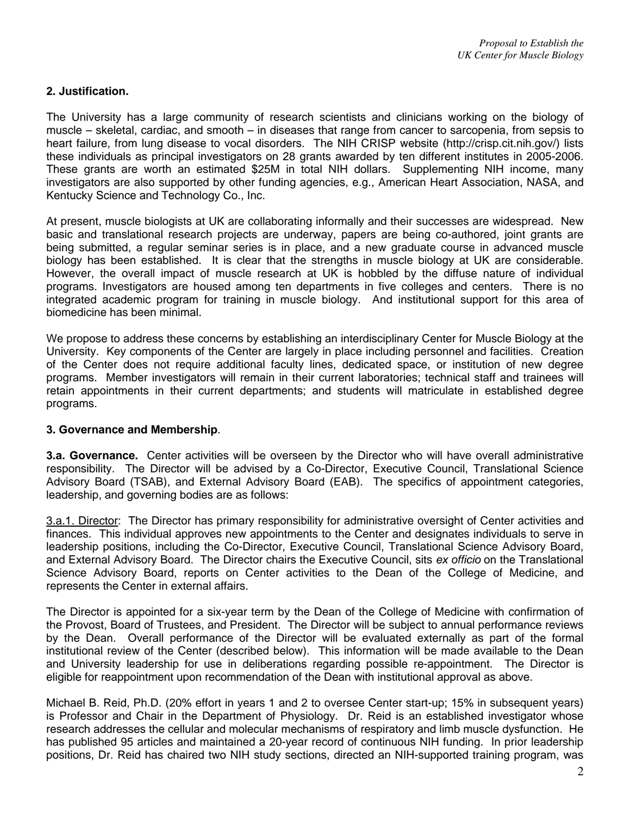# **2. Justification.**

The University has a large community of research scientists and clinicians working on the biology of muscle – skeletal, cardiac, and smooth – in diseases that range from cancer to sarcopenia, from sepsis to heart failure, from lung disease to vocal disorders. The NIH CRISP website (http://crisp.cit.nih.gov/) lists these individuals as principal investigators on 28 grants awarded by ten different institutes in 2005-2006. These grants are worth an estimated \$25M in total NIH dollars. Supplementing NIH income, many investigators are also supported by other funding agencies, e.g., American Heart Association, NASA, and Kentucky Science and Technology Co., Inc.

At present, muscle biologists at UK are collaborating informally and their successes are widespread. New basic and translational research projects are underway, papers are being co-authored, joint grants are being submitted, a regular seminar series is in place, and a new graduate course in advanced muscle biology has been established. It is clear that the strengths in muscle biology at UK are considerable. However, the overall impact of muscle research at UK is hobbled by the diffuse nature of individual programs. Investigators are housed among ten departments in five colleges and centers. There is no integrated academic program for training in muscle biology. And institutional support for this area of biomedicine has been minimal.

We propose to address these concerns by establishing an interdisciplinary Center for Muscle Biology at the University. Key components of the Center are largely in place including personnel and facilities. Creation of the Center does not require additional faculty lines, dedicated space, or institution of new degree programs. Member investigators will remain in their current laboratories; technical staff and trainees will retain appointments in their current departments; and students will matriculate in established degree programs.

## **3. Governance and Membership**.

**3.a. Governance.** Center activities will be overseen by the Director who will have overall administrative responsibility. The Director will be advised by a Co-Director, Executive Council, Translational Science Advisory Board (TSAB), and External Advisory Board (EAB). The specifics of appointment categories, leadership, and governing bodies are as follows:

3.a.1. Director: The Director has primary responsibility for administrative oversight of Center activities and finances. This individual approves new appointments to the Center and designates individuals to serve in leadership positions, including the Co-Director, Executive Council, Translational Science Advisory Board, and External Advisory Board. The Director chairs the Executive Council, sits *ex officio* on the Translational Science Advisory Board, reports on Center activities to the Dean of the College of Medicine, and represents the Center in external affairs.

The Director is appointed for a six-year term by the Dean of the College of Medicine with confirmation of the Provost, Board of Trustees, and President. The Director will be subject to annual performance reviews by the Dean. Overall performance of the Director will be evaluated externally as part of the formal institutional review of the Center (described below). This information will be made available to the Dean and University leadership for use in deliberations regarding possible re-appointment. The Director is eligible for reappointment upon recommendation of the Dean with institutional approval as above.

Michael B. Reid, Ph.D. (20% effort in years 1 and 2 to oversee Center start-up; 15% in subsequent years) is Professor and Chair in the Department of Physiology. Dr. Reid is an established investigator whose research addresses the cellular and molecular mechanisms of respiratory and limb muscle dysfunction. He has published 95 articles and maintained a 20-year record of continuous NIH funding. In prior leadership positions, Dr. Reid has chaired two NIH study sections, directed an NIH-supported training program, was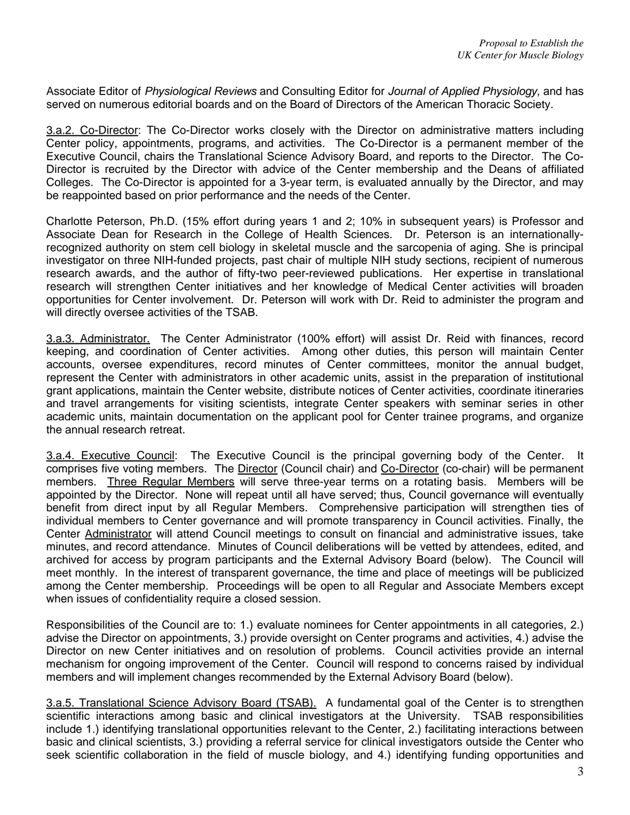Associate Editor of *Physiological Reviews* and Consulting Editor for *Journal of Applied Physiology*, and has served on numerous editorial boards and on the Board of Directors of the American Thoracic Society.

3.a.2. Co-Director: The Co-Director works closely with the Director on administrative matters including Center policy, appointments, programs, and activities. The Co-Director is a permanent member of the Executive Council, chairs the Translational Science Advisory Board, and reports to the Director. The Co-Director is recruited by the Director with advice of the Center membership and the Deans of affiliated Colleges. The Co-Director is appointed for a 3-year term, is evaluated annually by the Director, and may be reappointed based on prior performance and the needs of the Center.

Charlotte Peterson, Ph.D. (15% effort during years 1 and 2; 10% in subsequent years) is Professor and Associate Dean for Research in the College of Health Sciences. Dr. Peterson is an internationallyrecognized authority on stem cell biology in skeletal muscle and the sarcopenia of aging. She is principal investigator on three NIH-funded projects, past chair of multiple NIH study sections, recipient of numerous research awards, and the author of fifty-two peer-reviewed publications. Her expertise in translational research will strengthen Center initiatives and her knowledge of Medical Center activities will broaden opportunities for Center involvement. Dr. Peterson will work with Dr. Reid to administer the program and will directly oversee activities of the TSAB.

3.a.3. Administrator. The Center Administrator (100% effort) will assist Dr. Reid with finances, record keeping, and coordination of Center activities. Among other duties, this person will maintain Center accounts, oversee expenditures, record minutes of Center committees, monitor the annual budget, represent the Center with administrators in other academic units, assist in the preparation of institutional grant applications, maintain the Center website, distribute notices of Center activities, coordinate itineraries and travel arrangements for visiting scientists, integrate Center speakers with seminar series in other academic units, maintain documentation on the applicant pool for Center trainee programs, and organize the annual research retreat.

3.a.4. Executive Council: The Executive Council is the principal governing body of the Center. It comprises five voting members. The Director (Council chair) and Co-Director (co-chair) will be permanent members. Three Regular Members will serve three-year terms on a rotating basis. Members will be appointed by the Director. None will repeat until all have served; thus, Council governance will eventually benefit from direct input by all Regular Members. Comprehensive participation will strengthen ties of individual members to Center governance and will promote transparency in Council activities. Finally, the Center Administrator will attend Council meetings to consult on financial and administrative issues, take minutes, and record attendance. Minutes of Council deliberations will be vetted by attendees, edited, and archived for access by program participants and the External Advisory Board (below). The Council will meet monthly. In the interest of transparent governance, the time and place of meetings will be publicized among the Center membership. Proceedings will be open to all Regular and Associate Members except when issues of confidentiality require a closed session.

Responsibilities of the Council are to: 1.) evaluate nominees for Center appointments in all categories, 2.) advise the Director on appointments, 3.) provide oversight on Center programs and activities, 4.) advise the Director on new Center initiatives and on resolution of problems. Council activities provide an internal mechanism for ongoing improvement of the Center. Council will respond to concerns raised by individual members and will implement changes recommended by the External Advisory Board (below).

3.a.5. Translational Science Advisory Board (TSAB).A fundamental goal of the Center is to strengthen scientific interactions among basic and clinical investigators at the University. TSAB responsibilities include 1.) identifying translational opportunities relevant to the Center, 2.) facilitating interactions between basic and clinical scientists, 3.) providing a referral service for clinical investigators outside the Center who seek scientific collaboration in the field of muscle biology, and 4.) identifying funding opportunities and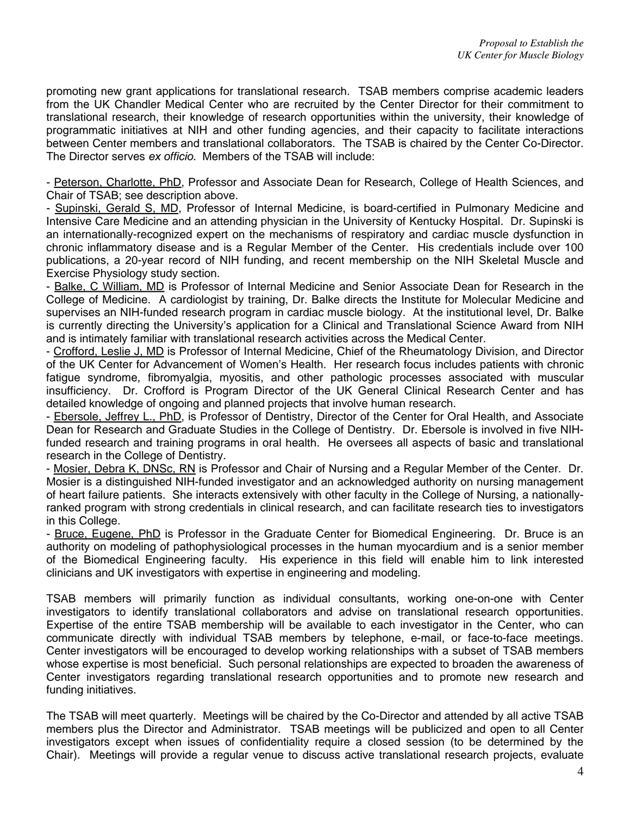promoting new grant applications for translational research. TSAB members comprise academic leaders from the UK Chandler Medical Center who are recruited by the Center Director for their commitment to translational research, their knowledge of research opportunities within the university, their knowledge of programmatic initiatives at NIH and other funding agencies, and their capacity to facilitate interactions between Center members and translational collaborators. The TSAB is chaired by the Center Co-Director. The Director serves *ex officio*. Members of the TSAB will include:

- Peterson, Charlotte, PhD, Professor and Associate Dean for Research, College of Health Sciences, and Chair of TSAB; see description above.

- Supinski, Gerald S, MD, Professor of Internal Medicine, is board-certified in Pulmonary Medicine and Intensive Care Medicine and an attending physician in the University of Kentucky Hospital. Dr. Supinski is an internationally-recognized expert on the mechanisms of respiratory and cardiac muscle dysfunction in chronic inflammatory disease and is a Regular Member of the Center. His credentials include over 100 publications, a 20-year record of NIH funding, and recent membership on the NIH Skeletal Muscle and Exercise Physiology study section.

- Balke, C William, MD is Professor of Internal Medicine and Senior Associate Dean for Research in the College of Medicine. A cardiologist by training, Dr. Balke directs the Institute for Molecular Medicine and supervises an NIH-funded research program in cardiac muscle biology. At the institutional level, Dr. Balke is currently directing the University's application for a Clinical and Translational Science Award from NIH and is intimately familiar with translational research activities across the Medical Center.

- Crofford, Leslie J, MD is Professor of Internal Medicine, Chief of the Rheumatology Division, and Director of the UK Center for Advancement of Women's Health. Her research focus includes patients with chronic fatigue syndrome, fibromyalgia, myositis, and other pathologic processes associated with muscular insufficiency. Dr. Crofford is Program Director of the UK General Clinical Research Center and has detailed knowledge of ongoing and planned projects that involve human research.

- Ebersole, Jeffrey L., PhD, is Professor of Dentistry, Director of the Center for Oral Health, and Associate Dean for Research and Graduate Studies in the College of Dentistry. Dr. Ebersole is involved in five NIHfunded research and training programs in oral health. He oversees all aspects of basic and translational research in the College of Dentistry.

- Mosier, Debra K, DNSc, RN is Professor and Chair of Nursing and a Regular Member of the Center. Dr. Mosier is a distinguished NIH-funded investigator and an acknowledged authority on nursing management of heart failure patients. She interacts extensively with other faculty in the College of Nursing, a nationallyranked program with strong credentials in clinical research, and can facilitate research ties to investigators in this College.

- Bruce, Eugene, PhD is Professor in the Graduate Center for Biomedical Engineering. Dr. Bruce is an authority on modeling of pathophysiological processes in the human myocardium and is a senior member of the Biomedical Engineering faculty. His experience in this field will enable him to link interested clinicians and UK investigators with expertise in engineering and modeling.

TSAB members will primarily function as individual consultants, working one-on-one with Center investigators to identify translational collaborators and advise on translational research opportunities. Expertise of the entire TSAB membership will be available to each investigator in the Center, who can communicate directly with individual TSAB members by telephone, e-mail, or face-to-face meetings. Center investigators will be encouraged to develop working relationships with a subset of TSAB members whose expertise is most beneficial. Such personal relationships are expected to broaden the awareness of Center investigators regarding translational research opportunities and to promote new research and funding initiatives.

The TSAB will meet quarterly. Meetings will be chaired by the Co-Director and attended by all active TSAB members plus the Director and Administrator. TSAB meetings will be publicized and open to all Center investigators except when issues of confidentiality require a closed session (to be determined by the Chair). Meetings will provide a regular venue to discuss active translational research projects, evaluate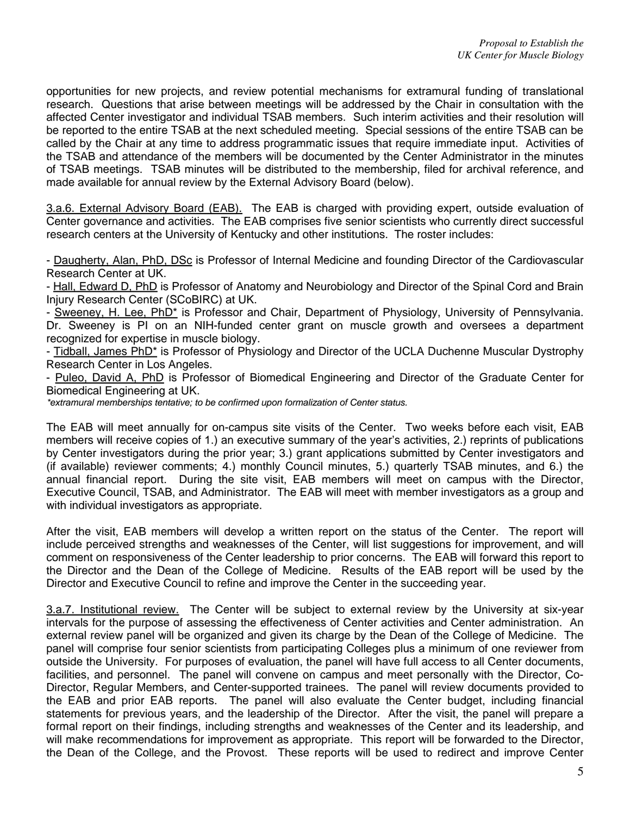opportunities for new projects, and review potential mechanisms for extramural funding of translational research. Questions that arise between meetings will be addressed by the Chair in consultation with the affected Center investigator and individual TSAB members. Such interim activities and their resolution will be reported to the entire TSAB at the next scheduled meeting. Special sessions of the entire TSAB can be called by the Chair at any time to address programmatic issues that require immediate input. Activities of the TSAB and attendance of the members will be documented by the Center Administrator in the minutes of TSAB meetings. TSAB minutes will be distributed to the membership, filed for archival reference, and made available for annual review by the External Advisory Board (below).

3.a.6. External Advisory Board (EAB). The EAB is charged with providing expert, outside evaluation of Center governance and activities. The EAB comprises five senior scientists who currently direct successful research centers at the University of Kentucky and other institutions. The roster includes:

- Daugherty, Alan, PhD, DSc is Professor of Internal Medicine and founding Director of the Cardiovascular Research Center at UK.

- Hall, Edward D, PhD is Professor of Anatomy and Neurobiology and Director of the Spinal Cord and Brain Injury Research Center (SCoBIRC) at UK.

- Sweeney, H. Lee, PhD\* is Professor and Chair, Department of Physiology, University of Pennsylvania. Dr. Sweeney is PI on an NIH-funded center grant on muscle growth and oversees a department recognized for expertise in muscle biology.

- Tidball, James PhD<sup>\*</sup> is Professor of Physiology and Director of the UCLA Duchenne Muscular Dystrophy Research Center in Los Angeles.

- Puleo, David A, PhD is Professor of Biomedical Engineering and Director of the Graduate Center for Biomedical Engineering at UK.

*\*extramural memberships tentative; to be confirmed upon formalization of Center status.* 

The EAB will meet annually for on-campus site visits of the Center. Two weeks before each visit, EAB members will receive copies of 1.) an executive summary of the year's activities, 2.) reprints of publications by Center investigators during the prior year; 3.) grant applications submitted by Center investigators and (if available) reviewer comments; 4.) monthly Council minutes, 5.) quarterly TSAB minutes, and 6.) the annual financial report. During the site visit, EAB members will meet on campus with the Director, Executive Council, TSAB, and Administrator. The EAB will meet with member investigators as a group and with individual investigators as appropriate.

After the visit, EAB members will develop a written report on the status of the Center. The report will include perceived strengths and weaknesses of the Center, will list suggestions for improvement, and will comment on responsiveness of the Center leadership to prior concerns. The EAB will forward this report to the Director and the Dean of the College of Medicine. Results of the EAB report will be used by the Director and Executive Council to refine and improve the Center in the succeeding year.

3.a.7. Institutional review. The Center will be subject to external review by the University at six-year intervals for the purpose of assessing the effectiveness of Center activities and Center administration. An external review panel will be organized and given its charge by the Dean of the College of Medicine. The panel will comprise four senior scientists from participating Colleges plus a minimum of one reviewer from outside the University. For purposes of evaluation, the panel will have full access to all Center documents, facilities, and personnel. The panel will convene on campus and meet personally with the Director, Co-Director, Regular Members, and Center-supported trainees. The panel will review documents provided to the EAB and prior EAB reports. The panel will also evaluate the Center budget, including financial statements for previous years, and the leadership of the Director. After the visit, the panel will prepare a formal report on their findings, including strengths and weaknesses of the Center and its leadership, and will make recommendations for improvement as appropriate. This report will be forwarded to the Director, the Dean of the College, and the Provost. These reports will be used to redirect and improve Center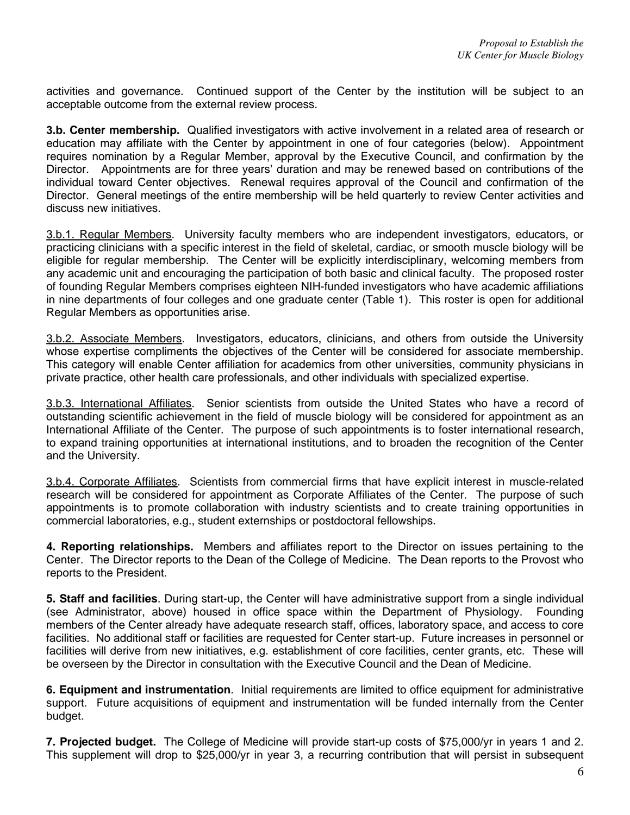activities and governance. Continued support of the Center by the institution will be subject to an acceptable outcome from the external review process.

**3.b. Center membership.** Qualified investigators with active involvement in a related area of research or education may affiliate with the Center by appointment in one of four categories (below). Appointment requires nomination by a Regular Member, approval by the Executive Council, and confirmation by the Director. Appointments are for three years' duration and may be renewed based on contributions of the individual toward Center objectives. Renewal requires approval of the Council and confirmation of the Director. General meetings of the entire membership will be held quarterly to review Center activities and discuss new initiatives.

3.b.1. Regular Members. University faculty members who are independent investigators, educators, or practicing clinicians with a specific interest in the field of skeletal, cardiac, or smooth muscle biology will be eligible for regular membership. The Center will be explicitly interdisciplinary, welcoming members from any academic unit and encouraging the participation of both basic and clinical faculty. The proposed roster of founding Regular Members comprises eighteen NIH-funded investigators who have academic affiliations in nine departments of four colleges and one graduate center (Table 1). This roster is open for additional Regular Members as opportunities arise.

3.b.2. Associate Members. Investigators, educators, clinicians, and others from outside the University whose expertise compliments the objectives of the Center will be considered for associate membership. This category will enable Center affiliation for academics from other universities, community physicians in private practice, other health care professionals, and other individuals with specialized expertise.

3.b.3. International Affiliates. Senior scientists from outside the United States who have a record of outstanding scientific achievement in the field of muscle biology will be considered for appointment as an International Affiliate of the Center. The purpose of such appointments is to foster international research, to expand training opportunities at international institutions, and to broaden the recognition of the Center and the University.

3.b.4. Corporate Affiliates. Scientists from commercial firms that have explicit interest in muscle-related research will be considered for appointment as Corporate Affiliates of the Center. The purpose of such appointments is to promote collaboration with industry scientists and to create training opportunities in commercial laboratories, e.g., student externships or postdoctoral fellowships.

**4. Reporting relationships.** Members and affiliates report to the Director on issues pertaining to the Center. The Director reports to the Dean of the College of Medicine. The Dean reports to the Provost who reports to the President.

**5. Staff and facilities**. During start-up, the Center will have administrative support from a single individual (see Administrator, above) housed in office space within the Department of Physiology. Founding members of the Center already have adequate research staff, offices, laboratory space, and access to core facilities. No additional staff or facilities are requested for Center start-up. Future increases in personnel or facilities will derive from new initiatives, e.g. establishment of core facilities, center grants, etc. These will be overseen by the Director in consultation with the Executive Council and the Dean of Medicine.

**6. Equipment and instrumentation**. Initial requirements are limited to office equipment for administrative support. Future acquisitions of equipment and instrumentation will be funded internally from the Center budget.

**7. Projected budget.** The College of Medicine will provide start-up costs of \$75,000/yr in years 1 and 2. This supplement will drop to \$25,000/yr in year 3, a recurring contribution that will persist in subsequent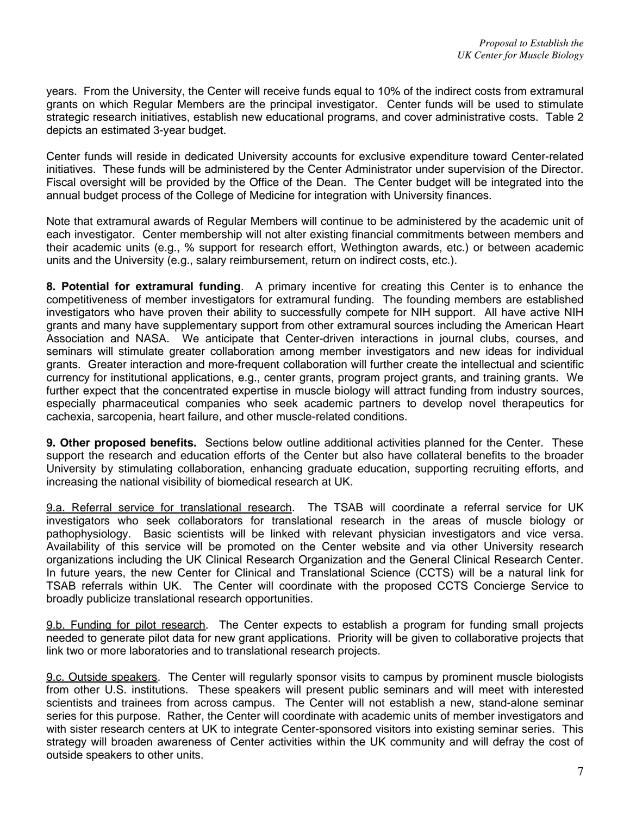years. From the University, the Center will receive funds equal to 10% of the indirect costs from extramural grants on which Regular Members are the principal investigator. Center funds will be used to stimulate strategic research initiatives, establish new educational programs, and cover administrative costs. Table 2 depicts an estimated 3-year budget.

Center funds will reside in dedicated University accounts for exclusive expenditure toward Center-related initiatives. These funds will be administered by the Center Administrator under supervision of the Director. Fiscal oversight will be provided by the Office of the Dean. The Center budget will be integrated into the annual budget process of the College of Medicine for integration with University finances.

Note that extramural awards of Regular Members will continue to be administered by the academic unit of each investigator. Center membership will not alter existing financial commitments between members and their academic units (e.g., % support for research effort, Wethington awards, etc.) or between academic units and the University (e.g., salary reimbursement, return on indirect costs, etc.).

**8. Potential for extramural funding**. A primary incentive for creating this Center is to enhance the competitiveness of member investigators for extramural funding. The founding members are established investigators who have proven their ability to successfully compete for NIH support. All have active NIH grants and many have supplementary support from other extramural sources including the American Heart Association and NASA. We anticipate that Center-driven interactions in journal clubs, courses, and seminars will stimulate greater collaboration among member investigators and new ideas for individual grants. Greater interaction and more-frequent collaboration will further create the intellectual and scientific currency for institutional applications, e.g., center grants, program project grants, and training grants. We further expect that the concentrated expertise in muscle biology will attract funding from industry sources, especially pharmaceutical companies who seek academic partners to develop novel therapeutics for cachexia, sarcopenia, heart failure, and other muscle-related conditions.

**9. Other proposed benefits.** Sections below outline additional activities planned for the Center. These support the research and education efforts of the Center but also have collateral benefits to the broader University by stimulating collaboration, enhancing graduate education, supporting recruiting efforts, and increasing the national visibility of biomedical research at UK.

9.a. Referral service for translational research. The TSAB will coordinate a referral service for UK investigators who seek collaborators for translational research in the areas of muscle biology or pathophysiology. Basic scientists will be linked with relevant physician investigators and vice versa. Availability of this service will be promoted on the Center website and via other University research organizations including the UK Clinical Research Organization and the General Clinical Research Center. In future years, the new Center for Clinical and Translational Science (CCTS) will be a natural link for TSAB referrals within UK. The Center will coordinate with the proposed CCTS Concierge Service to broadly publicize translational research opportunities.

9.b. Funding for pilot research. The Center expects to establish a program for funding small projects needed to generate pilot data for new grant applications. Priority will be given to collaborative projects that link two or more laboratories and to translational research projects.

9.c. Outside speakers. The Center will regularly sponsor visits to campus by prominent muscle biologists from other U.S. institutions. These speakers will present public seminars and will meet with interested scientists and trainees from across campus. The Center will not establish a new, stand-alone seminar series for this purpose. Rather, the Center will coordinate with academic units of member investigators and with sister research centers at UK to integrate Center-sponsored visitors into existing seminar series. This strategy will broaden awareness of Center activities within the UK community and will defray the cost of outside speakers to other units.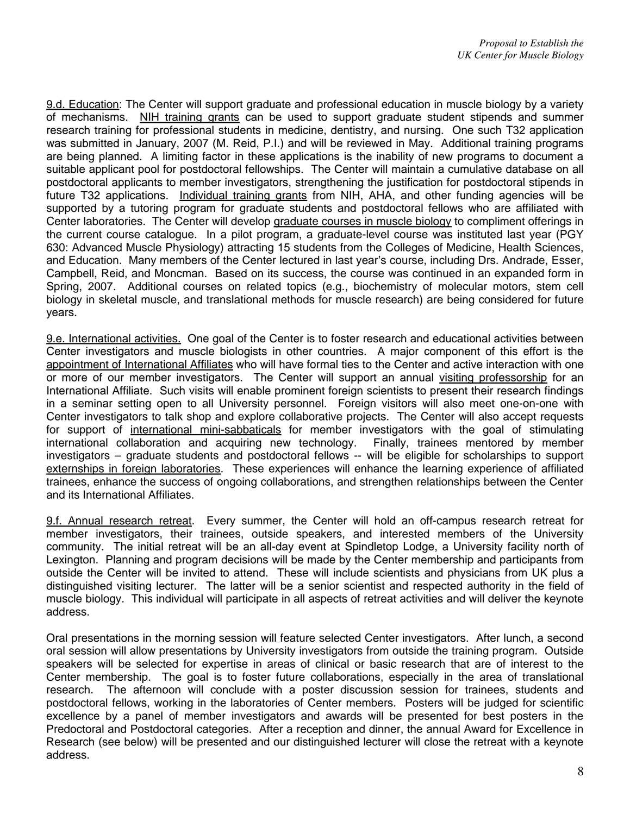9.d. Education: The Center will support graduate and professional education in muscle biology by a variety of mechanisms. NIH training grants can be used to support graduate student stipends and summer research training for professional students in medicine, dentistry, and nursing. One such T32 application was submitted in January, 2007 (M. Reid, P.I.) and will be reviewed in May. Additional training programs are being planned. A limiting factor in these applications is the inability of new programs to document a suitable applicant pool for postdoctoral fellowships. The Center will maintain a cumulative database on all postdoctoral applicants to member investigators, strengthening the justification for postdoctoral stipends in future T32 applications. Individual training grants from NIH, AHA, and other funding agencies will be supported by a tutoring program for graduate students and postdoctoral fellows who are affiliated with Center laboratories. The Center will develop graduate courses in muscle biology to compliment offerings in the current course catalogue. In a pilot program, a graduate-level course was instituted last year (PGY 630: Advanced Muscle Physiology) attracting 15 students from the Colleges of Medicine, Health Sciences, and Education. Many members of the Center lectured in last year's course, including Drs. Andrade, Esser, Campbell, Reid, and Moncman. Based on its success, the course was continued in an expanded form in Spring, 2007. Additional courses on related topics (e.g., biochemistry of molecular motors, stem cell biology in skeletal muscle, and translational methods for muscle research) are being considered for future years.

9.e. International activities. One goal of the Center is to foster research and educational activities between Center investigators and muscle biologists in other countries. A major component of this effort is the appointment of International Affiliates who will have formal ties to the Center and active interaction with one or more of our member investigators. The Center will support an annual visiting professorship for an International Affiliate. Such visits will enable prominent foreign scientists to present their research findings in a seminar setting open to all University personnel. Foreign visitors will also meet one-on-one with Center investigators to talk shop and explore collaborative projects. The Center will also accept requests for support of international mini-sabbaticals for member investigators with the goal of stimulating international collaboration and acquiring new technology. Finally, trainees mentored by member investigators – graduate students and postdoctoral fellows -- will be eligible for scholarships to support externships in foreign laboratories. These experiences will enhance the learning experience of affiliated trainees, enhance the success of ongoing collaborations, and strengthen relationships between the Center and its International Affiliates.

9.f. Annual research retreat. Every summer, the Center will hold an off-campus research retreat for member investigators, their trainees, outside speakers, and interested members of the University community. The initial retreat will be an all-day event at Spindletop Lodge, a University facility north of Lexington. Planning and program decisions will be made by the Center membership and participants from outside the Center will be invited to attend. These will include scientists and physicians from UK plus a distinguished visiting lecturer. The latter will be a senior scientist and respected authority in the field of muscle biology. This individual will participate in all aspects of retreat activities and will deliver the keynote address.

Oral presentations in the morning session will feature selected Center investigators. After lunch, a second oral session will allow presentations by University investigators from outside the training program. Outside speakers will be selected for expertise in areas of clinical or basic research that are of interest to the Center membership. The goal is to foster future collaborations, especially in the area of translational research. The afternoon will conclude with a poster discussion session for trainees, students and postdoctoral fellows, working in the laboratories of Center members. Posters will be judged for scientific excellence by a panel of member investigators and awards will be presented for best posters in the Predoctoral and Postdoctoral categories. After a reception and dinner, the annual Award for Excellence in Research (see below) will be presented and our distinguished lecturer will close the retreat with a keynote address.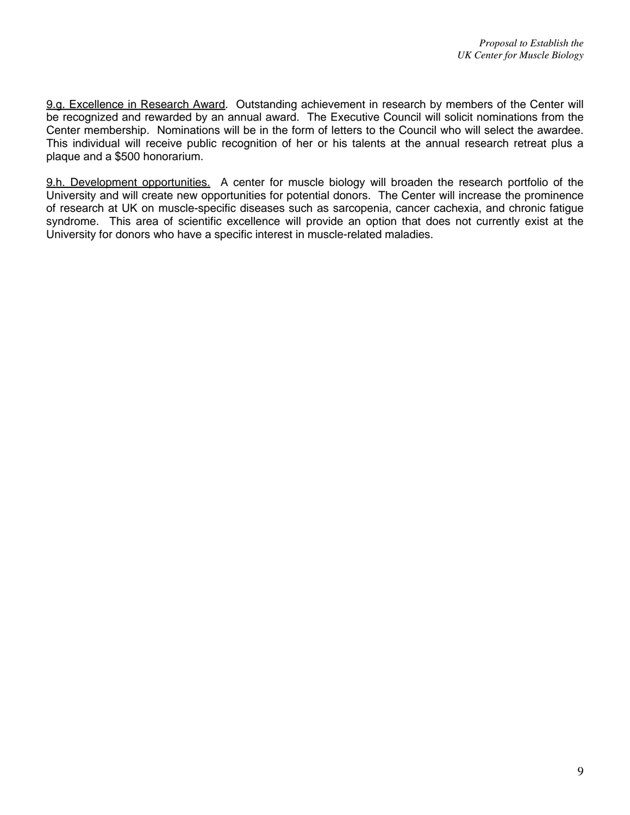9.g. Excellence in Research Award. Outstanding achievement in research by members of the Center will be recognized and rewarded by an annual award. The Executive Council will solicit nominations from the Center membership. Nominations will be in the form of letters to the Council who will select the awardee. This individual will receive public recognition of her or his talents at the annual research retreat plus a plaque and a \$500 honorarium.

9.h. Development opportunities. A center for muscle biology will broaden the research portfolio of the University and will create new opportunities for potential donors. The Center will increase the prominence of research at UK on muscle-specific diseases such as sarcopenia, cancer cachexia, and chronic fatigue syndrome. This area of scientific excellence will provide an option that does not currently exist at the University for donors who have a specific interest in muscle-related maladies.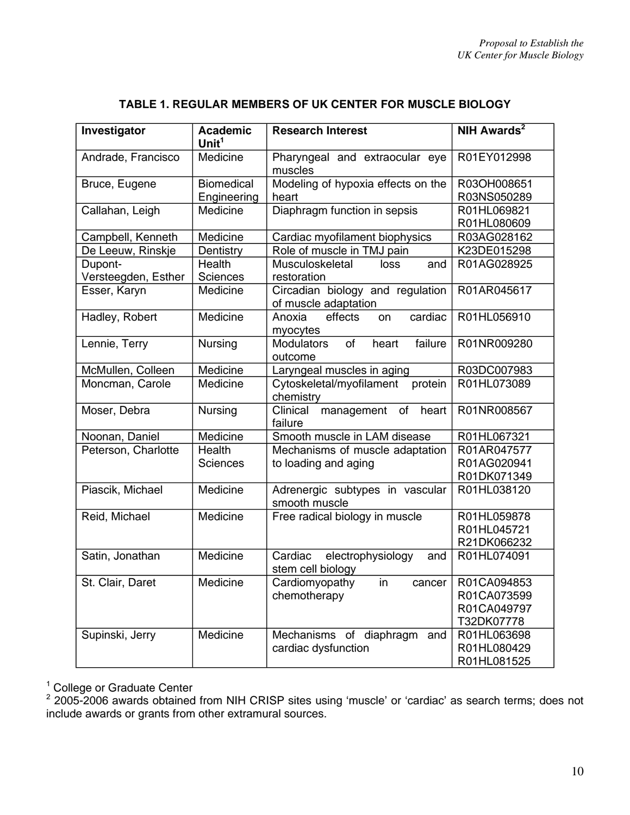| Investigator                 | <b>Academic</b><br>Unit $1$ | <b>Research Interest</b>                                 | <b>NIH Awards<sup>2</sup></b> |
|------------------------------|-----------------------------|----------------------------------------------------------|-------------------------------|
| Andrade, Francisco           | Medicine                    | Pharyngeal and extraocular eye<br>muscles                | R01EY012998                   |
| Bruce, Eugene                | <b>Biomedical</b>           | Modeling of hypoxia effects on the                       | R03OH008651                   |
|                              | Engineering                 | heart                                                    | R03NS050289                   |
| Callahan, Leigh              | Medicine                    | Diaphragm function in sepsis                             | R01HL069821<br>R01HL080609    |
| Campbell, Kenneth            | Medicine                    | Cardiac myofilament biophysics                           | R03AG028162                   |
| De Leeuw, Rinskje            | Dentistry                   | Role of muscle in TMJ pain                               | K23DE015298                   |
| Dupont-                      | Health                      | Musculoskeletal<br>loss<br>and                           | R01AG028925                   |
| Versteegden, Esther          | <b>Sciences</b>             | restoration                                              |                               |
| Esser, Karyn                 | Medicine                    | Circadian biology and regulation<br>of muscle adaptation | R01AR045617                   |
| Hadley, Robert               | Medicine                    | cardiac<br>effects<br>Anoxia<br>on<br>myocytes           | R01HL056910                   |
| Lennie, Terry                | Nursing                     | failure<br>of<br>heart<br><b>Modulators</b><br>outcome   | R01NR009280                   |
| McMullen, Colleen            | Medicine                    | Laryngeal muscles in aging                               | R03DC007983                   |
| Moncman, Carole              | Medicine                    | Cytoskeletal/myofilament<br>protein<br>chemistry         | R01HL073089                   |
| Moser, Debra                 | Nursing                     | Clinical<br>management of heart<br>failure               | R01NR008567                   |
| Noonan, Daniel               | Medicine                    | Smooth muscle in LAM disease                             | R01HL067321                   |
| Peterson, Charlotte          | Health                      | Mechanisms of muscle adaptation                          | R01AR047577                   |
|                              | <b>Sciences</b>             | to loading and aging                                     | R01AG020941                   |
|                              |                             |                                                          | R01DK071349                   |
| Piascik, Michael             | Medicine                    | Adrenergic subtypes in vascular<br>smooth muscle         | R01HL038120                   |
| Reid, Michael                | Medicine                    | Free radical biology in muscle                           | R01HL059878                   |
|                              |                             |                                                          | R01HL045721                   |
|                              |                             |                                                          | R21DK066232                   |
| Satin, Jonathan              | Medicine                    | Cardiac<br>electrophysiology<br>and<br>stem cell biology | R01HL074091                   |
| Medicine<br>St. Clair, Daret |                             | Cardiomyopathy in cancer                                 | R01CA094853                   |
|                              |                             | chemotherapy                                             | R01CA073599                   |
|                              |                             |                                                          | R01CA049797                   |
|                              |                             |                                                          | T32DK07778                    |
| Supinski, Jerry              | Medicine                    | Mechanisms of diaphragm<br>and                           | R01HL063698                   |
|                              | cardiac dysfunction         |                                                          | R01HL080429                   |
|                              |                             |                                                          | R01HL081525                   |

# **TABLE 1. REGULAR MEMBERS OF UK CENTER FOR MUSCLE BIOLOGY**

<sup>1</sup> College or Graduate Center<br><sup>2</sup> 2005-2006 awards obtained from NIH CRISP sites using 'muscle' or 'cardiac' as search terms; does not include awards or grants from other extramural sources.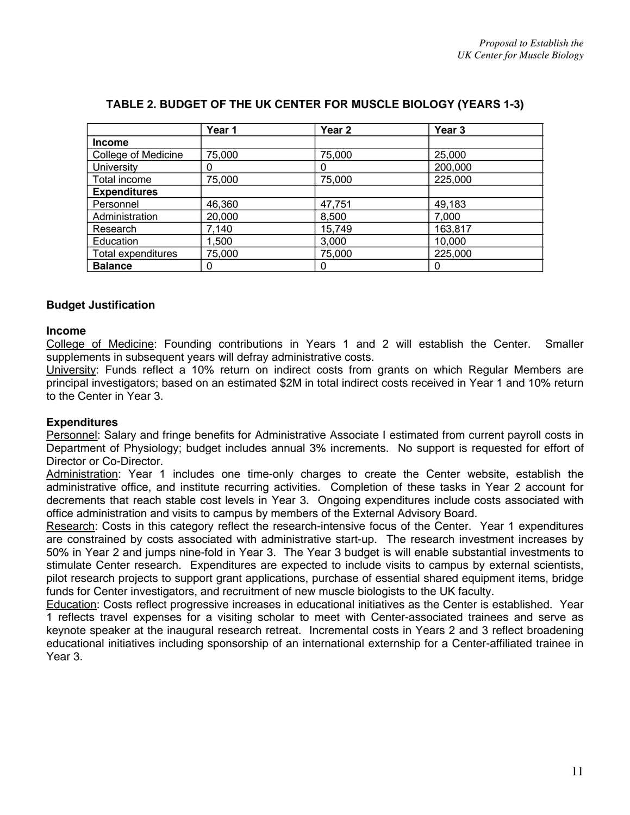|                     | Year 1 | Year 2 | Year 3  |
|---------------------|--------|--------|---------|
| <b>Income</b>       |        |        |         |
| College of Medicine | 75,000 | 75,000 | 25,000  |
| <b>University</b>   | O      | 0      | 200,000 |
| Total income        | 75,000 | 75,000 | 225,000 |
| <b>Expenditures</b> |        |        |         |
| Personnel           | 46,360 | 47,751 | 49,183  |
| Administration      | 20,000 | 8,500  | 7,000   |
| Research            | 7,140  | 15,749 | 163,817 |
| Education           | 1,500  | 3,000  | 10,000  |
| Total expenditures  | 75,000 | 75,000 | 225,000 |
| <b>Balance</b>      | O      | 0      |         |

# **TABLE 2. BUDGET OF THE UK CENTER FOR MUSCLE BIOLOGY (YEARS 1-3)**

### **Budget Justification**

#### **Income**

College of Medicine: Founding contributions in Years 1 and 2 will establish the Center. Smaller supplements in subsequent years will defray administrative costs.

University: Funds reflect a 10% return on indirect costs from grants on which Regular Members are principal investigators; based on an estimated \$2M in total indirect costs received in Year 1 and 10% return to the Center in Year 3.

### **Expenditures**

Personnel: Salary and fringe benefits for Administrative Associate I estimated from current payroll costs in Department of Physiology; budget includes annual 3% increments. No support is requested for effort of Director or Co-Director.

Administration: Year 1 includes one time-only charges to create the Center website, establish the administrative office, and institute recurring activities. Completion of these tasks in Year 2 account for decrements that reach stable cost levels in Year 3. Ongoing expenditures include costs associated with office administration and visits to campus by members of the External Advisory Board.

Research: Costs in this category reflect the research-intensive focus of the Center. Year 1 expenditures are constrained by costs associated with administrative start-up. The research investment increases by 50% in Year 2 and jumps nine-fold in Year 3. The Year 3 budget is will enable substantial investments to stimulate Center research. Expenditures are expected to include visits to campus by external scientists, pilot research projects to support grant applications, purchase of essential shared equipment items, bridge funds for Center investigators, and recruitment of new muscle biologists to the UK faculty.

Education: Costs reflect progressive increases in educational initiatives as the Center is established. Year 1 reflects travel expenses for a visiting scholar to meet with Center-associated trainees and serve as keynote speaker at the inaugural research retreat. Incremental costs in Years 2 and 3 reflect broadening educational initiatives including sponsorship of an international externship for a Center-affiliated trainee in Year 3.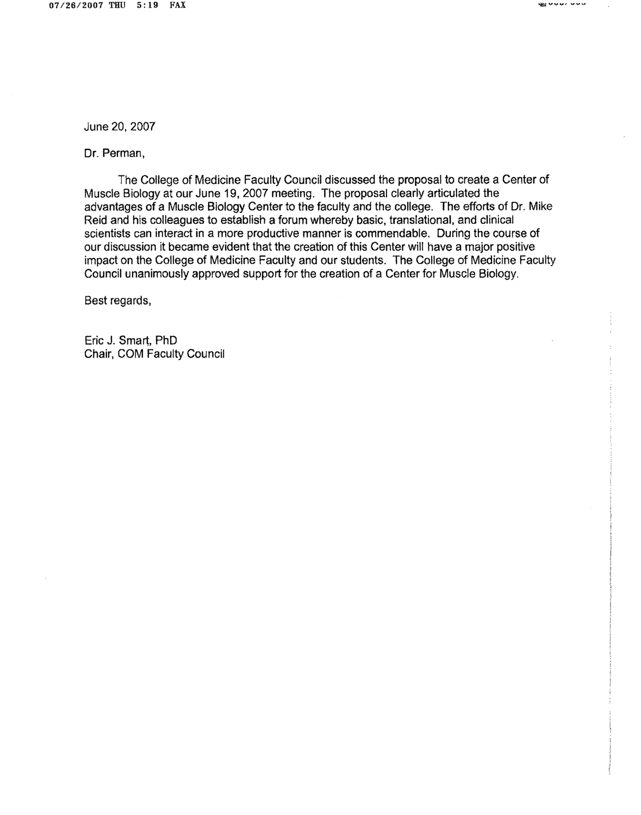**PEROVAL ARM** 

June 20, 2007

Dr. Perman,

The College of Medicine Faculty Council discussed the proposal to create a Center of Muscle Biology at our June 19, 2007 meeting. The proposal clearly articulated the advantages of a Muscle Biology Center to the faculty and the college. The efforts of Dr. Mike Reid and his colleagues to establish a forum whereby basic, translational, and clinical scientists can interact in a more productive manner is commendable. During the course of our discussion it became evident that the creation of this Center will have a major positive impact on the College of Medicine Faculty and our students. The College of Medicine Faculty Council unanimously approved support for the creation of a Center for Muscle Biology.

Best regards,

Eric J. Smart, PhD Chair, COM Faculty Council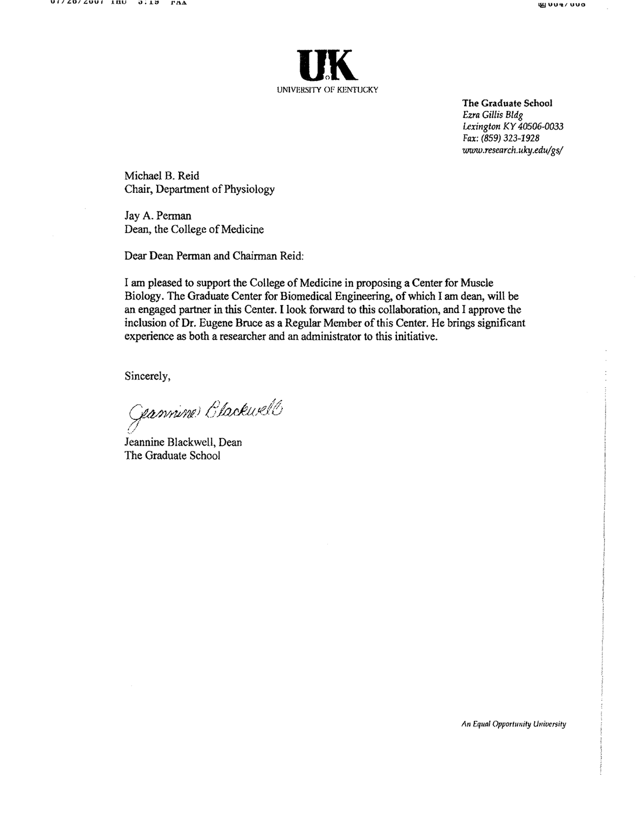



The Graduate School Ezra Gillis Bldg Lexington KY 40506-0033 Fax: (859) 323-1928 www.research.uky.edu/gs/

Michael B. Reid Chair, Department of Physiology

Jay A. Perman Dean, the College of Medicine

Dear Dean Perman and Chairman Reid:

I am pleased to support the College of Medicine in proposing a Center for Muscle Biology. The Graduate Center for Biomedical Engineering, of which I am dean, will be an engaged partner in this Center. I look forward to this collaboration, and I approve the inclusion of Dr. Eugene Bruce as a Regular Member of this Center. He brings significant experience as both a researcher and an administrator to this initiative.

Sincerely,

Gannine Clackwell

Jeannine Blackwell, Dean The Graduate School

An Equal Opportunity University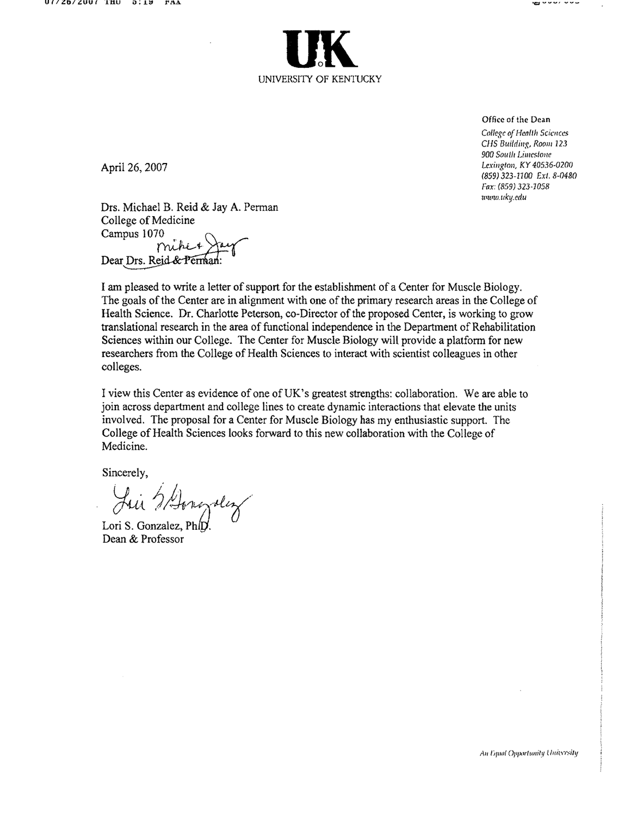

Office of the Dean College of Health Sciences CHS Building, Room 123 900 South Limestone Lexington, KY 40536-0200 (859) 323-1100 Ext. 8-0480 Fax: (859) 323-1058 www.uky.edu

ť

wwr.www

April 26, 2007

Drs. Michael B. Reid & Jay A. Perman College of Medicine Campus 1070 Dear Drs. Reid & Perman:

I am pleased to write a letter of support for the establishment of a Center for Muscle Biology. The goals of the Center are in alignment with one of the primary research areas in the College of Health Science. Dr. Charlotte Peterson, co-Director of the proposed Center, is working to grow translational research in the area of functional independence in the Department of Rehabilitation Sciences within our College. The Center for Muscle Biology will provide a platform for new researchers from the College of Health Sciences to interact with scientist colleagues in other colleges.

I view this Center as evidence of one of UK's greatest strengths: collaboration. We are able to join across department and college lines to create dynamic interactions that elevate the units involved. The proposal for a Center for Muscle Biology has my enthusiastic support. The College of Health Sciences looks forward to this new collaboration with the College of Medicine.

Sincerely,

Jui Steragder

Lori S. Gonzalez, Ph Dean & Professor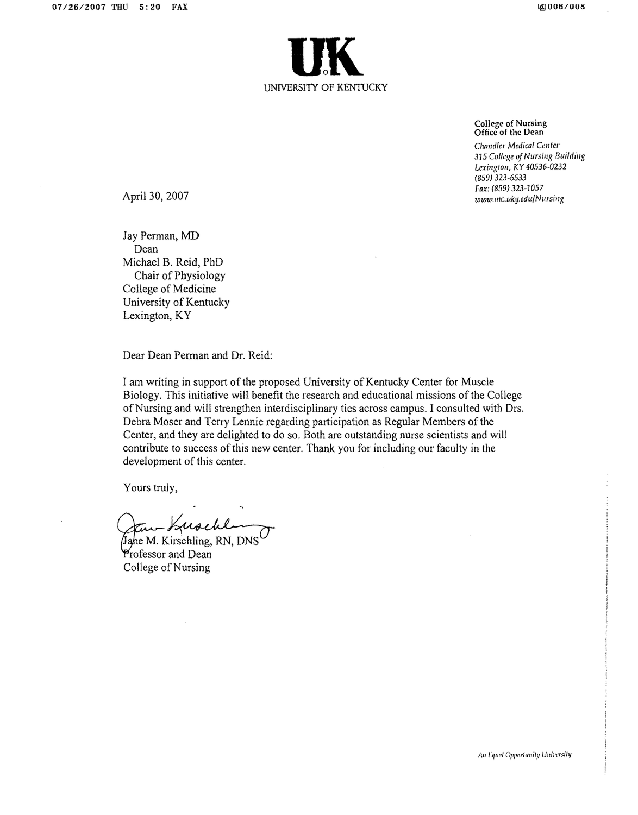

**College of Nursing** Office of the Dean

Chandler Medical Center 315 College of Nursing Building Lexington, KY 40536-0232  $(859)$  323-6533 Fax: (859) 323-1057 www.mc.uky.edu/Nursing

April 30, 2007

Jay Perman, MD Dean Michael B. Reid, PhD Chair of Physiology College of Medicine University of Kentucky Lexington, KY

Dear Dean Perman and Dr. Reid:

I am writing in support of the proposed University of Kentucky Center for Muscle Biology. This initiative will benefit the research and educational missions of the College of Nursing and will strengthen interdisciplinary ties across campus. I consulted with Drs. Debra Moser and Terry Lennie regarding participation as Regular Members of the Center, and they are delighted to do so. Both are outstanding nurse scientists and will contribute to success of this new center. Thank you for including our faculty in the development of this center.

Yours truly,

Jahe M. Kirschling, RN, DNS Professor and Dean College of Nursing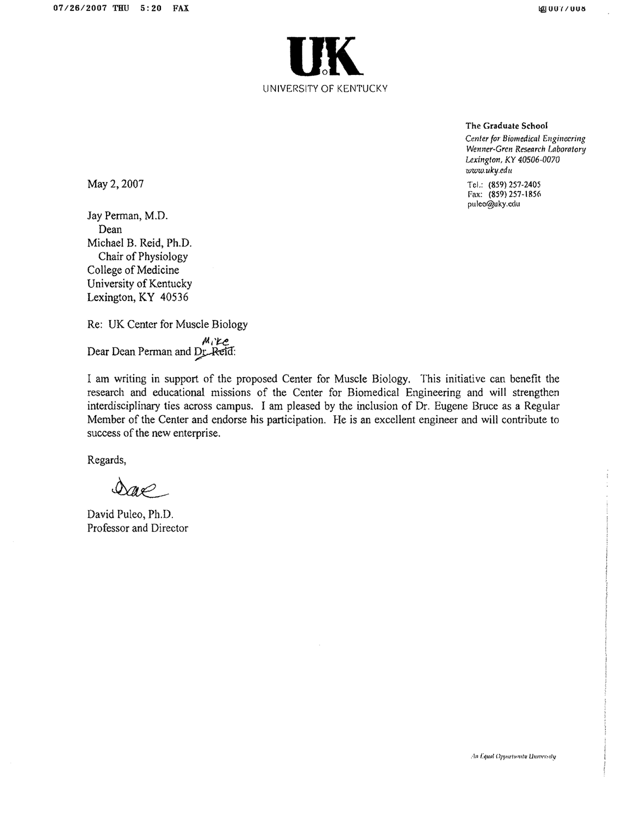

The Graduate School

Center for Biomedical Engineering Wenner-Gren Research Laboratory Lexington, KY 40506-0070 www.uky.edu

Tel.: (859) 257-2405 Fax: (859) 257-1856 puleo@uky.cdu

May 2, 2007

Jay Perman, M.D. Dean Michael B. Reid, Ph.D. Chair of Physiology College of Medicine University of Kentucky Lexington, KY 40536

Re: UK Center for Muscle Biology  $M_i$   $\mathcal{L}$ e<br>Dear Dean Perman and Dr. Reid:

I am writing in support of the proposed Center for Muscle Biology. This initiative can benefit the research and educational missions of the Center for Biomedical Engineering and will strengthen interdisciplinary ties across campus. I am pleased by the inclusion of Dr. Eugene Bruce as a Regular Member of the Center and endorse his participation. He is an excellent engineer and will contribute to success of the new enterprise.

Regards,

 $\mathscr{A}$ 

David Puleo, Ph.D. Professor and Director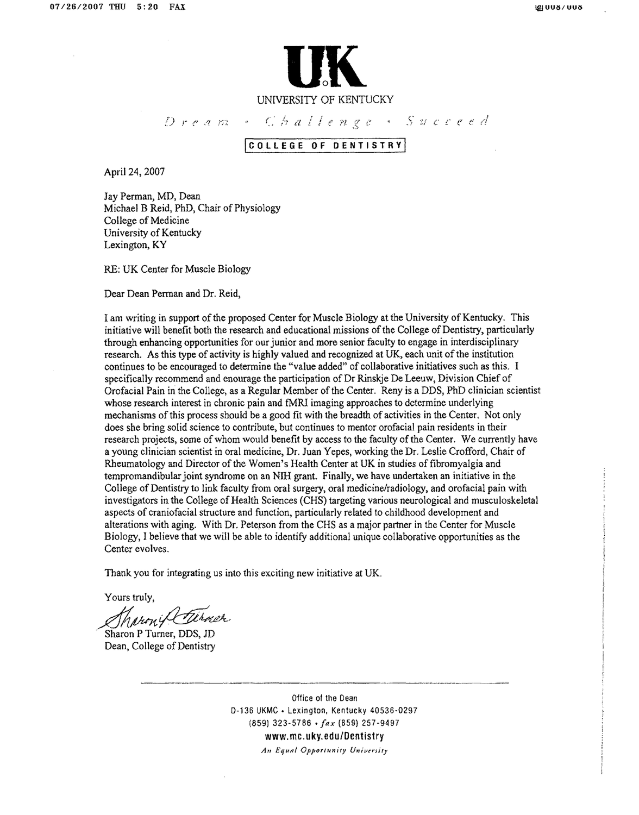

Dream - Challenge - Succeed

# COLLEGE OF DENTISTRY

April 24, 2007

Jav Perman, MD, Dean Michael B Reid, PhD, Chair of Physiology College of Medicine University of Kentucky Lexington, KY

RE: UK Center for Muscle Biology

Dear Dean Perman and Dr. Reid,

I am writing in support of the proposed Center for Muscle Biology at the University of Kentucky. This initiative will benefit both the research and educational missions of the College of Dentistry, particularly through enhancing opportunities for our junior and more senior faculty to engage in interdisciplinary research. As this type of activity is highly valued and recognized at UK, each unit of the institution continues to be encouraged to determine the "value added" of collaborative initiatives such as this. I specifically recommend and enourage the participation of Dr Rinskje De Leeuw, Division Chief of Orofacial Pain in the College, as a Regular Member of the Center. Reny is a DDS, PhD clinician scientist whose research interest in chronic pain and fMRI imaging approaches to determine underlying mechanisms of this process should be a good fit with the breadth of activities in the Center. Not only does she bring solid science to contribute, but continues to mentor orofacial pain residents in their research projects, some of whom would benefit by access to the faculty of the Center. We currently have a young clinician scientist in oral medicine, Dr. Juan Yepes, working the Dr. Leslie Crofford, Chair of Rheumatology and Director of the Women's Health Center at UK in studies of fibromyalgia and tempromandibular joint syndrome on an NIH grant. Finally, we have undertaken an initiative in the College of Dentistry to link faculty from oral surgery, oral medicine/radiology, and orofacial pain with investigators in the College of Health Sciences (CHS) targeting various neurological and musculoskeletal aspects of craniofacial structure and function, particularly related to childhood development and alterations with aging. With Dr. Peterson from the CHS as a major partner in the Center for Muscle Biology, I believe that we will be able to identify additional unique collaborative opportunities as the Center evolves.

Thank you for integrating us into this exciting new initiative at UK.

Yours truly,

Marcy Curner

Dean, College of Dentistry

Office of the Dean D-136 UKMC - Lexington, Kentucky 40536-0297  $(859)$  323-5786 •  $\int ax (859) 257 - 9497$ www.mc.uky.edu/Dentistry An Equal Opportunity University